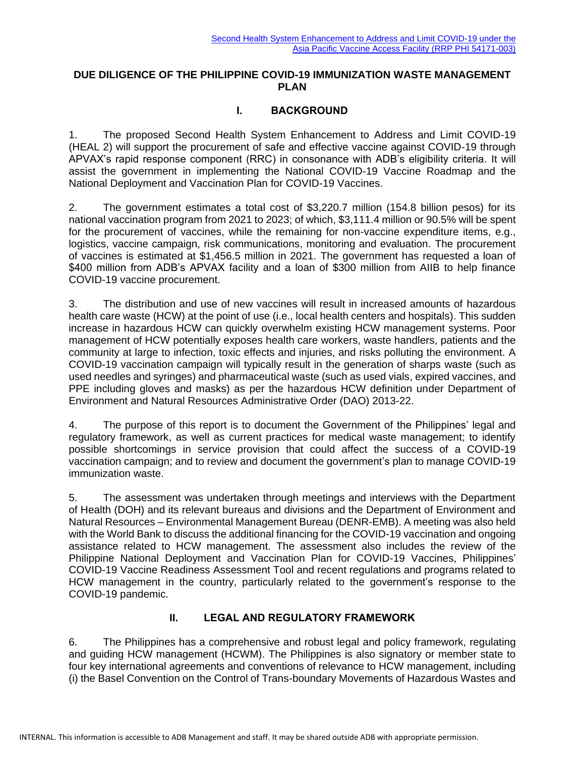#### **DUE DILIGENCE OF THE PHILIPPINE COVID-19 IMMUNIZATION WASTE MANAGEMENT PLAN**

### **I. BACKGROUND**

1. The proposed Second Health System Enhancement to Address and Limit COVID-19 (HEAL 2) will support the procurement of safe and effective vaccine against COVID-19 through APVAX's rapid response component (RRC) in consonance with ADB's eligibility criteria. It will assist the government in implementing the National COVID-19 Vaccine Roadmap and the National Deployment and Vaccination Plan for COVID-19 Vaccines.

2. The government estimates a total cost of \$3,220.7 million (154.8 billion pesos) for its national vaccination program from 2021 to 2023; of which, \$3,111.4 million or 90.5% will be spent for the procurement of vaccines, while the remaining for non-vaccine expenditure items, e.g., logistics, vaccine campaign, risk communications, monitoring and evaluation. The procurement of vaccines is estimated at \$1,456.5 million in 2021. The government has requested a loan of \$400 million from ADB's APVAX facility and a loan of \$300 million from AIIB to help finance COVID-19 vaccine procurement.

3. The distribution and use of new vaccines will result in increased amounts of hazardous health care waste (HCW) at the point of use (i.e., local health centers and hospitals). This sudden increase in hazardous HCW can quickly overwhelm existing HCW management systems. Poor management of HCW potentially exposes health care workers, waste handlers, patients and the community at large to infection, toxic effects and injuries, and risks polluting the environment. A COVID-19 vaccination campaign will typically result in the generation of sharps waste (such as used needles and syringes) and pharmaceutical waste (such as used vials, expired vaccines, and PPE including gloves and masks) as per the hazardous HCW definition under Department of Environment and Natural Resources Administrative Order (DAO) 2013-22.

4. The purpose of this report is to document the Government of the Philippines' legal and regulatory framework, as well as current practices for medical waste management; to identify possible shortcomings in service provision that could affect the success of a COVID-19 vaccination campaign; and to review and document the government's plan to manage COVID-19 immunization waste.

5. The assessment was undertaken through meetings and interviews with the Department of Health (DOH) and its relevant bureaus and divisions and the Department of Environment and Natural Resources – Environmental Management Bureau (DENR-EMB). A meeting was also held with the World Bank to discuss the additional financing for the COVID-19 vaccination and ongoing assistance related to HCW management. The assessment also includes the review of the Philippine National Deployment and Vaccination Plan for COVID-19 Vaccines, Philippines' COVID-19 Vaccine Readiness Assessment Tool and recent regulations and programs related to HCW management in the country, particularly related to the government's response to the COVID-19 pandemic.

#### **II. LEGAL AND REGULATORY FRAMEWORK**

6. The Philippines has a comprehensive and robust legal and policy framework, regulating and guiding HCW management (HCWM). The Philippines is also signatory or member state to four key international agreements and conventions of relevance to HCW management, including (i) the Basel Convention on the Control of Trans-boundary Movements of Hazardous Wastes and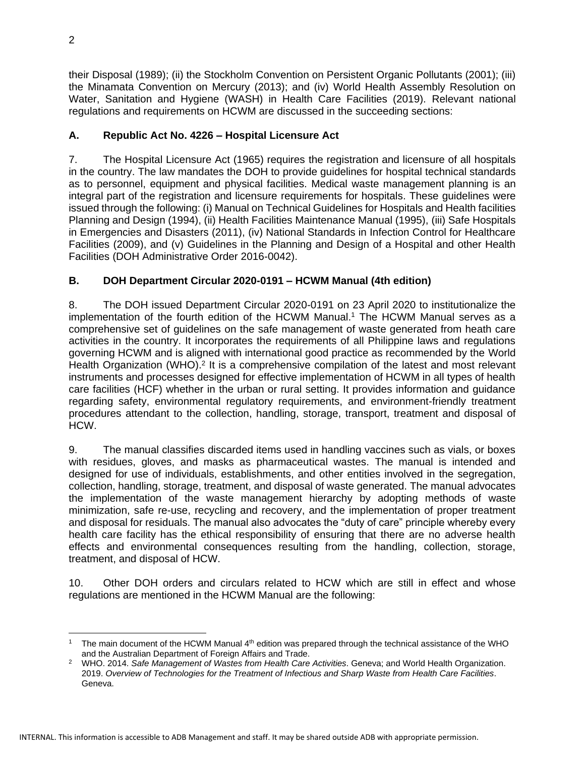their Disposal (1989); (ii) the Stockholm Convention on Persistent Organic Pollutants (2001); (iii) the Minamata Convention on Mercury (2013); and (iv) World Health Assembly Resolution on Water, Sanitation and Hygiene (WASH) in Health Care Facilities (2019). Relevant national regulations and requirements on HCWM are discussed in the succeeding sections:

## **A. Republic Act No. 4226 – Hospital Licensure Act**

7. The Hospital Licensure Act (1965) requires the registration and licensure of all hospitals in the country. The law mandates the DOH to provide guidelines for hospital technical standards as to personnel, equipment and physical facilities. Medical waste management planning is an integral part of the registration and licensure requirements for hospitals. These guidelines were issued through the following: (i) Manual on Technical Guidelines for Hospitals and Health facilities Planning and Design (1994), (ii) Health Facilities Maintenance Manual (1995), (iii) Safe Hospitals in Emergencies and Disasters (2011), (iv) National Standards in Infection Control for Healthcare Facilities (2009), and (v) Guidelines in the Planning and Design of a Hospital and other Health Facilities (DOH Administrative Order 2016-0042).

# **B. DOH Department Circular 2020-0191 – HCWM Manual (4th edition)**

8. The DOH issued Department Circular 2020-0191 on 23 April 2020 to institutionalize the implementation of the fourth edition of the HCWM Manual. <sup>1</sup> The HCWM Manual serves as a comprehensive set of guidelines on the safe management of waste generated from heath care activities in the country. It incorporates the requirements of all Philippine laws and regulations governing HCWM and is aligned with international good practice as recommended by the World Health Organization (WHO).<sup>2</sup> It is a comprehensive compilation of the latest and most relevant instruments and processes designed for effective implementation of HCWM in all types of health care facilities (HCF) whether in the urban or rural setting. It provides information and guidance regarding safety, environmental regulatory requirements, and environment-friendly treatment procedures attendant to the collection, handling, storage, transport, treatment and disposal of HCW.

9. The manual classifies discarded items used in handling vaccines such as vials, or boxes with residues, gloves, and masks as pharmaceutical wastes. The manual is intended and designed for use of individuals, establishments, and other entities involved in the segregation, collection, handling, storage, treatment, and disposal of waste generated. The manual advocates the implementation of the waste management hierarchy by adopting methods of waste minimization, safe re-use, recycling and recovery, and the implementation of proper treatment and disposal for residuals. The manual also advocates the "duty of care" principle whereby every health care facility has the ethical responsibility of ensuring that there are no adverse health effects and environmental consequences resulting from the handling, collection, storage, treatment, and disposal of HCW.

10. Other DOH orders and circulars related to HCW which are still in effect and whose regulations are mentioned in the HCWM Manual are the following:

<sup>&</sup>lt;sup>1</sup> The main document of the HCWM Manual  $4<sup>th</sup>$  edition was prepared through the technical assistance of the WHO and the Australian Department of Foreign Affairs and Trade.

<sup>2</sup> WHO. 2014. *Safe Management of Wastes from Health Care Activities*. Geneva; and World Health Organization. 2019. *Overview of Technologies for the Treatment of Infectious and Sharp Waste from Health Care Facilities*. Geneva.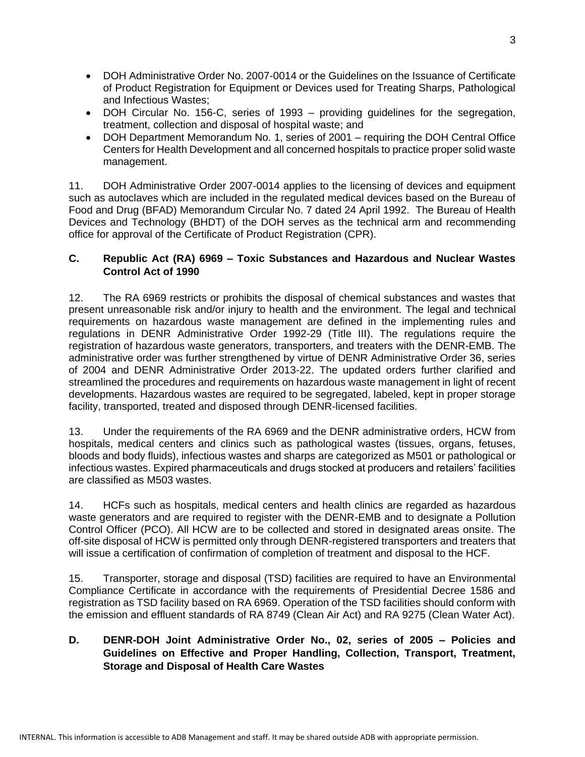- DOH Administrative Order No. 2007-0014 or the Guidelines on the Issuance of Certificate of Product Registration for Equipment or Devices used for Treating Sharps, Pathological and Infectious Wastes;
- DOH Circular No. 156-C, series of 1993 providing guidelines for the segregation, treatment, collection and disposal of hospital waste; and
- DOH Department Memorandum No. 1, series of 2001 requiring the DOH Central Office Centers for Health Development and all concerned hospitals to practice proper solid waste management.

11. DOH Administrative Order 2007-0014 applies to the licensing of devices and equipment such as autoclaves which are included in the regulated medical devices based on the Bureau of Food and Drug (BFAD) Memorandum Circular No. 7 dated 24 April 1992. The Bureau of Health Devices and Technology (BHDT) of the DOH serves as the technical arm and recommending office for approval of the Certificate of Product Registration (CPR).

#### **C. Republic Act (RA) 6969 – Toxic Substances and Hazardous and Nuclear Wastes Control Act of 1990**

12. The RA 6969 restricts or prohibits the disposal of chemical substances and wastes that present unreasonable risk and/or injury to health and the environment. The legal and technical requirements on hazardous waste management are defined in the implementing rules and regulations in DENR Administrative Order 1992-29 (Title III). The regulations require the registration of hazardous waste generators, transporters, and treaters with the DENR-EMB. The administrative order was further strengthened by virtue of DENR Administrative Order 36, series of 2004 and DENR Administrative Order 2013-22. The updated orders further clarified and streamlined the procedures and requirements on hazardous waste management in light of recent developments. Hazardous wastes are required to be segregated, labeled, kept in proper storage facility, transported, treated and disposed through DENR-licensed facilities.

13. Under the requirements of the RA 6969 and the DENR administrative orders, HCW from hospitals, medical centers and clinics such as pathological wastes (tissues, organs, fetuses, bloods and body fluids), infectious wastes and sharps are categorized as M501 or pathological or infectious wastes. Expired pharmaceuticals and drugs stocked at producers and retailers' facilities are classified as M503 wastes.

14. HCFs such as hospitals, medical centers and health clinics are regarded as hazardous waste generators and are required to register with the DENR-EMB and to designate a Pollution Control Officer (PCO). All HCW are to be collected and stored in designated areas onsite. The off-site disposal of HCW is permitted only through DENR-registered transporters and treaters that will issue a certification of confirmation of completion of treatment and disposal to the HCF.

15. Transporter, storage and disposal (TSD) facilities are required to have an Environmental Compliance Certificate in accordance with the requirements of Presidential Decree 1586 and registration as TSD facility based on RA 6969. Operation of the TSD facilities should conform with the emission and effluent standards of RA 8749 (Clean Air Act) and RA 9275 (Clean Water Act).

### **D. DENR-DOH Joint Administrative Order No., 02, series of 2005 – Policies and Guidelines on Effective and Proper Handling, Collection, Transport, Treatment, Storage and Disposal of Health Care Wastes**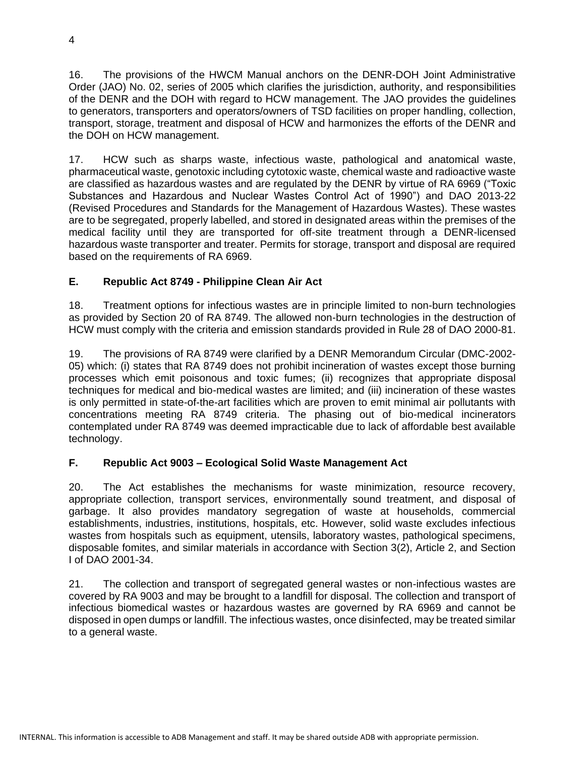16. The provisions of the HWCM Manual anchors on the DENR-DOH Joint Administrative Order (JAO) No. 02, series of 2005 which clarifies the jurisdiction, authority, and responsibilities of the DENR and the DOH with regard to HCW management. The JAO provides the guidelines to generators, transporters and operators/owners of TSD facilities on proper handling, collection, transport, storage, treatment and disposal of HCW and harmonizes the efforts of the DENR and the DOH on HCW management.

17. HCW such as sharps waste, infectious waste, pathological and anatomical waste, pharmaceutical waste, genotoxic including cytotoxic waste, chemical waste and radioactive waste are classified as hazardous wastes and are regulated by the DENR by virtue of RA 6969 ("Toxic Substances and Hazardous and Nuclear Wastes Control Act of 1990") and DAO 2013-22 (Revised Procedures and Standards for the Management of Hazardous Wastes). These wastes are to be segregated, properly labelled, and stored in designated areas within the premises of the medical facility until they are transported for off-site treatment through a DENR-licensed hazardous waste transporter and treater. Permits for storage, transport and disposal are required based on the requirements of RA 6969.

### **E. Republic Act 8749 - Philippine Clean Air Act**

18. Treatment options for infectious wastes are in principle limited to non-burn technologies as provided by Section 20 of RA 8749. The allowed non-burn technologies in the destruction of HCW must comply with the criteria and emission standards provided in Rule 28 of DAO 2000-81.

19. The provisions of RA 8749 were clarified by a DENR Memorandum Circular (DMC-2002- 05) which: (i) states that RA 8749 does not prohibit incineration of wastes except those burning processes which emit poisonous and toxic fumes; (ii) recognizes that appropriate disposal techniques for medical and bio-medical wastes are limited; and (iii) incineration of these wastes is only permitted in state-of-the-art facilities which are proven to emit minimal air pollutants with concentrations meeting RA 8749 criteria. The phasing out of bio-medical incinerators contemplated under RA 8749 was deemed impracticable due to lack of affordable best available technology.

### **F. Republic Act 9003 – Ecological Solid Waste Management Act**

20. The Act establishes the mechanisms for waste minimization, resource recovery, appropriate collection, transport services, environmentally sound treatment, and disposal of garbage. It also provides mandatory segregation of waste at households, commercial establishments, industries, institutions, hospitals, etc. However, solid waste excludes infectious wastes from hospitals such as equipment, utensils, laboratory wastes, pathological specimens, disposable fomites, and similar materials in accordance with Section 3(2), Article 2, and Section I of DAO 2001-34.

21. The collection and transport of segregated general wastes or non-infectious wastes are covered by RA 9003 and may be brought to a landfill for disposal. The collection and transport of infectious biomedical wastes or hazardous wastes are governed by RA 6969 and cannot be disposed in open dumps or landfill. The infectious wastes, once disinfected, may be treated similar to a general waste.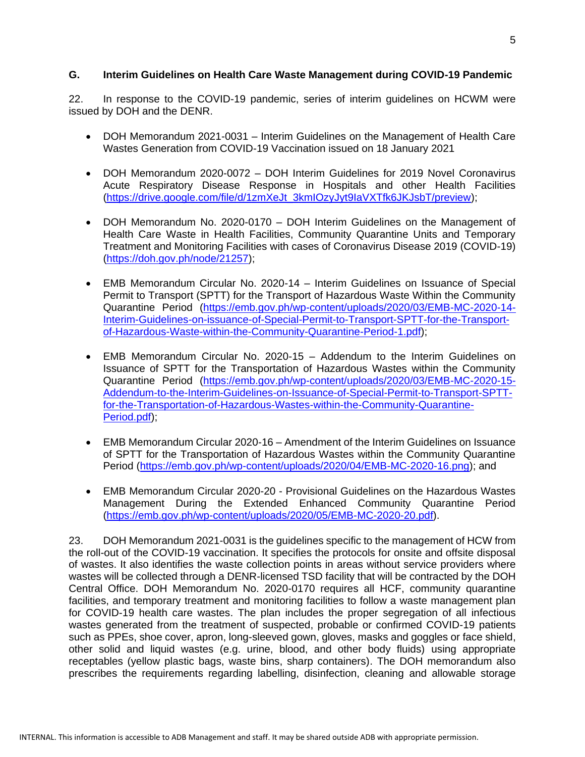#### **G. Interim Guidelines on Health Care Waste Management during COVID-19 Pandemic**

22. In response to the COVID-19 pandemic, series of interim guidelines on HCWM were issued by DOH and the DENR.

- DOH Memorandum 2021-0031 Interim Guidelines on the Management of Health Care Wastes Generation from COVID-19 Vaccination issued on 18 January 2021
- DOH Memorandum 2020-0072 DOH Interim Guidelines for 2019 Novel Coronavirus Acute Respiratory Disease Response in Hospitals and other Health Facilities [\(https://drive.google.com/file/d/1zmXeJt\\_3kmIOzyJyt9IaVXTfk6JKJsbT/preview\)](https://drive.google.com/file/d/1zmXeJt_3kmIOzyJyt9IaVXTfk6JKJsbT/preview);
- DOH Memorandum No. 2020-0170 DOH Interim Guidelines on the Management of Health Care Waste in Health Facilities, Community Quarantine Units and Temporary Treatment and Monitoring Facilities with cases of Coronavirus Disease 2019 (COVID-19) [\(https://doh.gov.ph/node/21257\)](https://doh.gov.ph/node/21257);
- EMB Memorandum Circular No. 2020-14 Interim Guidelines on Issuance of Special Permit to Transport (SPTT) for the Transport of Hazardous Waste Within the Community Quarantine Period [\(https://emb.gov.ph/wp-content/uploads/2020/03/EMB-MC-2020-14-](https://emb.gov.ph/wp-content/uploads/2020/03/EMB-MC-2020-14-Interim-Guidelines-on-issuance-of-Special-Permit-to-Transport-SPTT-for-the-Transport-of-Hazardous-Waste-within-the-Community-Quarantine-Period-1.pdf) [Interim-Guidelines-on-issuance-of-Special-Permit-to-Transport-SPTT-for-the-Transport](https://emb.gov.ph/wp-content/uploads/2020/03/EMB-MC-2020-14-Interim-Guidelines-on-issuance-of-Special-Permit-to-Transport-SPTT-for-the-Transport-of-Hazardous-Waste-within-the-Community-Quarantine-Period-1.pdf)[of-Hazardous-Waste-within-the-Community-Quarantine-Period-1.pdf\)](https://emb.gov.ph/wp-content/uploads/2020/03/EMB-MC-2020-14-Interim-Guidelines-on-issuance-of-Special-Permit-to-Transport-SPTT-for-the-Transport-of-Hazardous-Waste-within-the-Community-Quarantine-Period-1.pdf);
- EMB Memorandum Circular No. 2020-15 Addendum to the Interim Guidelines on Issuance of SPTT for the Transportation of Hazardous Wastes within the Community Quarantine Period [\(https://emb.gov.ph/wp-content/uploads/2020/03/EMB-MC-2020-15-](https://emb.gov.ph/wp-content/uploads/2020/03/EMB-MC-2020-15-Addendum-to-the-Interim-Guidelines-on-Issuance-of-Special-Permit-to-Transport-SPTT-for-the-Transportation-of-Hazardous-Wastes-within-the-Community-Quarantine-Period.pdf) [Addendum-to-the-Interim-Guidelines-on-Issuance-of-Special-Permit-to-Transport-SPTT](https://emb.gov.ph/wp-content/uploads/2020/03/EMB-MC-2020-15-Addendum-to-the-Interim-Guidelines-on-Issuance-of-Special-Permit-to-Transport-SPTT-for-the-Transportation-of-Hazardous-Wastes-within-the-Community-Quarantine-Period.pdf)[for-the-Transportation-of-Hazardous-Wastes-within-the-Community-Quarantine-](https://emb.gov.ph/wp-content/uploads/2020/03/EMB-MC-2020-15-Addendum-to-the-Interim-Guidelines-on-Issuance-of-Special-Permit-to-Transport-SPTT-for-the-Transportation-of-Hazardous-Wastes-within-the-Community-Quarantine-Period.pdf)[Period.pdf\)](https://emb.gov.ph/wp-content/uploads/2020/03/EMB-MC-2020-15-Addendum-to-the-Interim-Guidelines-on-Issuance-of-Special-Permit-to-Transport-SPTT-for-the-Transportation-of-Hazardous-Wastes-within-the-Community-Quarantine-Period.pdf);
- EMB Memorandum Circular 2020-16 Amendment of the Interim Guidelines on Issuance of SPTT for the Transportation of Hazardous Wastes within the Community Quarantine Period [\(https://emb.gov.ph/wp-content/uploads/2020/04/EMB-MC-2020-16.png\)](https://emb.gov.ph/wp-content/uploads/2020/04/EMB-MC-2020-16.png); and
- EMB Memorandum Circular 2020-20 Provisional Guidelines on the Hazardous Wastes Management During the Extended Enhanced Community Quarantine Period [\(https://emb.gov.ph/wp-content/uploads/2020/05/EMB-MC-2020-20.pdf\)](https://emb.gov.ph/wp-content/uploads/2020/05/EMB-MC-2020-20.pdf).

23. DOH Memorandum 2021-0031 is the guidelines specific to the management of HCW from the roll-out of the COVID-19 vaccination. It specifies the protocols for onsite and offsite disposal of wastes. It also identifies the waste collection points in areas without service providers where wastes will be collected through a DENR-licensed TSD facility that will be contracted by the DOH Central Office. DOH Memorandum No. 2020-0170 requires all HCF, community quarantine facilities, and temporary treatment and monitoring facilities to follow a waste management plan for COVID-19 health care wastes. The plan includes the proper segregation of all infectious wastes generated from the treatment of suspected, probable or confirmed COVID-19 patients such as PPEs, shoe cover, apron, long-sleeved gown, gloves, masks and goggles or face shield, other solid and liquid wastes (e.g. urine, blood, and other body fluids) using appropriate receptables (yellow plastic bags, waste bins, sharp containers). The DOH memorandum also prescribes the requirements regarding labelling, disinfection, cleaning and allowable storage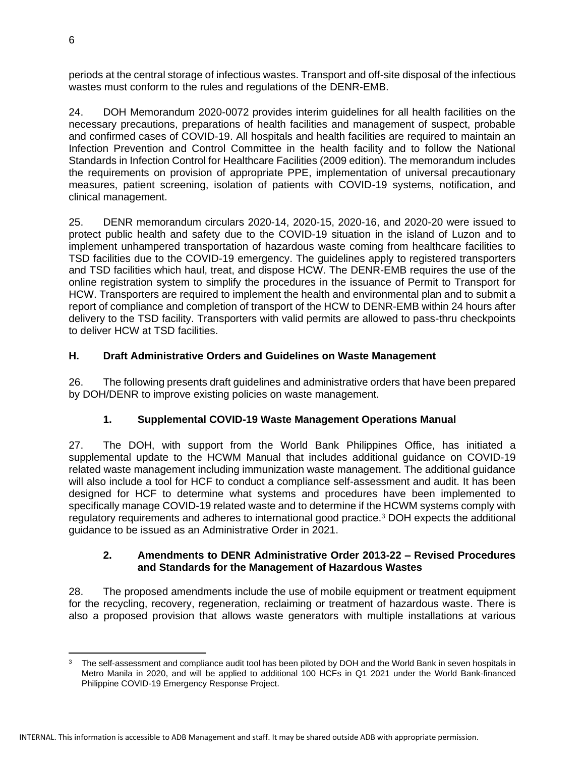periods at the central storage of infectious wastes. Transport and off-site disposal of the infectious wastes must conform to the rules and regulations of the DENR-EMB.

24. DOH Memorandum 2020-0072 provides interim guidelines for all health facilities on the necessary precautions, preparations of health facilities and management of suspect, probable and confirmed cases of COVID-19. All hospitals and health facilities are required to maintain an Infection Prevention and Control Committee in the health facility and to follow the National Standards in Infection Control for Healthcare Facilities (2009 edition). The memorandum includes the requirements on provision of appropriate PPE, implementation of universal precautionary measures, patient screening, isolation of patients with COVID-19 systems, notification, and clinical management.

25. DENR memorandum circulars 2020-14, 2020-15, 2020-16, and 2020-20 were issued to protect public health and safety due to the COVID-19 situation in the island of Luzon and to implement unhampered transportation of hazardous waste coming from healthcare facilities to TSD facilities due to the COVID-19 emergency. The guidelines apply to registered transporters and TSD facilities which haul, treat, and dispose HCW. The DENR-EMB requires the use of the online registration system to simplify the procedures in the issuance of Permit to Transport for HCW. Transporters are required to implement the health and environmental plan and to submit a report of compliance and completion of transport of the HCW to DENR-EMB within 24 hours after delivery to the TSD facility. Transporters with valid permits are allowed to pass-thru checkpoints to deliver HCW at TSD facilities.

### **H. Draft Administrative Orders and Guidelines on Waste Management**

26. The following presents draft guidelines and administrative orders that have been prepared by DOH/DENR to improve existing policies on waste management.

### **1. Supplemental COVID-19 Waste Management Operations Manual**

27. The DOH, with support from the World Bank Philippines Office, has initiated a supplemental update to the HCWM Manual that includes additional guidance on COVID-19 related waste management including immunization waste management. The additional guidance will also include a tool for HCF to conduct a compliance self-assessment and audit. It has been designed for HCF to determine what systems and procedures have been implemented to specifically manage COVID-19 related waste and to determine if the HCWM systems comply with regulatory requirements and adheres to international good practice.<sup>3</sup> DOH expects the additional guidance to be issued as an Administrative Order in 2021.

#### **2. Amendments to DENR Administrative Order 2013-22 – Revised Procedures and Standards for the Management of Hazardous Wastes**

28. The proposed amendments include the use of mobile equipment or treatment equipment for the recycling, recovery, regeneration, reclaiming or treatment of hazardous waste. There is also a proposed provision that allows waste generators with multiple installations at various

The self-assessment and compliance audit tool has been piloted by DOH and the World Bank in seven hospitals in Metro Manila in 2020, and will be applied to additional 100 HCFs in Q1 2021 under the World Bank-financed Philippine COVID-19 Emergency Response Project.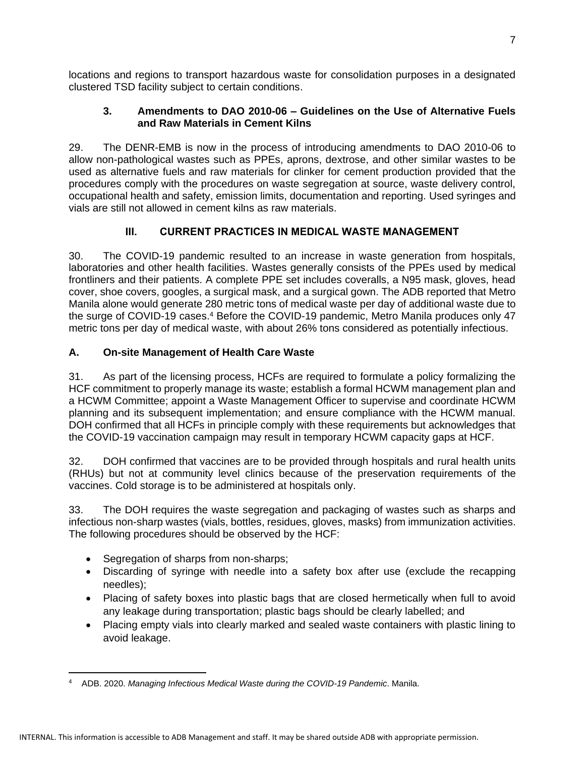locations and regions to transport hazardous waste for consolidation purposes in a designated clustered TSD facility subject to certain conditions.

#### **3. Amendments to DAO 2010-06 – Guidelines on the Use of Alternative Fuels and Raw Materials in Cement Kilns**

29. The DENR-EMB is now in the process of introducing amendments to DAO 2010-06 to allow non-pathological wastes such as PPEs, aprons, dextrose, and other similar wastes to be used as alternative fuels and raw materials for clinker for cement production provided that the procedures comply with the procedures on waste segregation at source, waste delivery control, occupational health and safety, emission limits, documentation and reporting. Used syringes and vials are still not allowed in cement kilns as raw materials.

### **III. CURRENT PRACTICES IN MEDICAL WASTE MANAGEMENT**

30. The COVID-19 pandemic resulted to an increase in waste generation from hospitals, laboratories and other health facilities. Wastes generally consists of the PPEs used by medical frontliners and their patients. A complete PPE set includes coveralls, a N95 mask, gloves, head cover, shoe covers, googles, a surgical mask, and a surgical gown. The ADB reported that Metro Manila alone would generate 280 metric tons of medical waste per day of additional waste due to the surge of COVID-19 cases.<sup>4</sup> Before the COVID-19 pandemic, Metro Manila produces only 47 metric tons per day of medical waste, with about 26% tons considered as potentially infectious.

### **A. On-site Management of Health Care Waste**

31. As part of the licensing process, HCFs are required to formulate a policy formalizing the HCF commitment to properly manage its waste; establish a formal HCWM management plan and a HCWM Committee; appoint a Waste Management Officer to supervise and coordinate HCWM planning and its subsequent implementation; and ensure compliance with the HCWM manual. DOH confirmed that all HCFs in principle comply with these requirements but acknowledges that the COVID-19 vaccination campaign may result in temporary HCWM capacity gaps at HCF.

32. DOH confirmed that vaccines are to be provided through hospitals and rural health units (RHUs) but not at community level clinics because of the preservation requirements of the vaccines. Cold storage is to be administered at hospitals only.

33. The DOH requires the waste segregation and packaging of wastes such as sharps and infectious non-sharp wastes (vials, bottles, residues, gloves, masks) from immunization activities. The following procedures should be observed by the HCF:

- Segregation of sharps from non-sharps;
- Discarding of syringe with needle into a safety box after use (exclude the recapping needles);
- Placing of safety boxes into plastic bags that are closed hermetically when full to avoid any leakage during transportation; plastic bags should be clearly labelled; and
- Placing empty vials into clearly marked and sealed waste containers with plastic lining to avoid leakage.

<sup>4</sup> ADB. 2020. *Managing Infectious Medical Waste during the COVID-19 Pandemic*. Manila.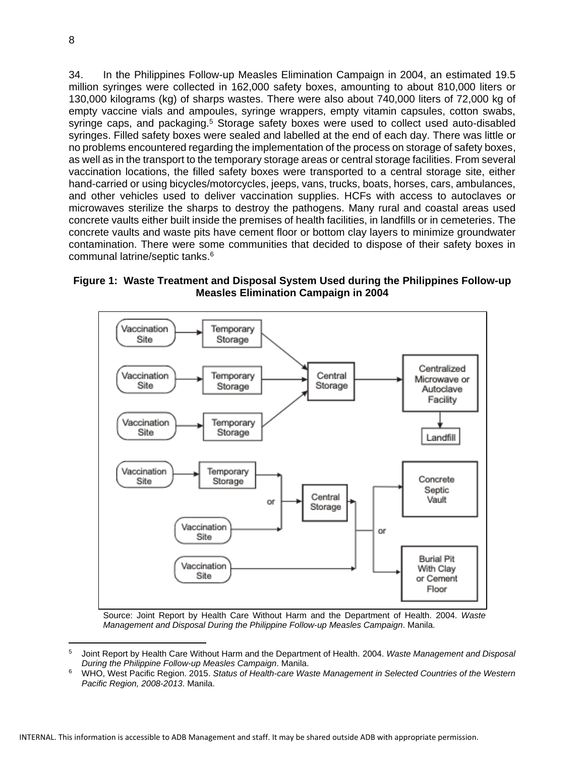34. In the Philippines Follow-up Measles Elimination Campaign in 2004, an estimated 19.5 million syringes were collected in 162,000 safety boxes, amounting to about 810,000 liters or 130,000 kilograms (kg) of sharps wastes. There were also about 740,000 liters of 72,000 kg of empty vaccine vials and ampoules, syringe wrappers, empty vitamin capsules, cotton swabs, syringe caps, and packaging.<sup>5</sup> Storage safety boxes were used to collect used auto-disabled syringes. Filled safety boxes were sealed and labelled at the end of each day. There was little or no problems encountered regarding the implementation of the process on storage of safety boxes, as well as in the transport to the temporary storage areas or central storage facilities. From several vaccination locations, the filled safety boxes were transported to a central storage site, either hand-carried or using bicycles/motorcycles, jeeps, vans, trucks, boats, horses, cars, ambulances, and other vehicles used to deliver vaccination supplies. HCFs with access to autoclaves or microwaves sterilize the sharps to destroy the pathogens. Many rural and coastal areas used concrete vaults either built inside the premises of health facilities, in landfills or in cemeteries. The concrete vaults and waste pits have cement floor or bottom clay layers to minimize groundwater contamination. There were some communities that decided to dispose of their safety boxes in communal latrine/septic tanks.<sup>6</sup>

#### **Figure 1: Waste Treatment and Disposal System Used during the Philippines Follow-up Measles Elimination Campaign in 2004**



Source: Joint Report by Health Care Without Harm and the Department of Health. 2004. *Waste Management and Disposal During the Philippine Follow-up Measles Campaign*. Manila.

<sup>5</sup> Joint Report by Health Care Without Harm and the Department of Health. 2004. *Waste Management and Disposal During the Philippine Follow-up Measles Campaign*. Manila.

<sup>6</sup> WHO, West Pacific Region. 2015. *Status of Health-care Waste Management in Selected Countries of the Western Pacific Region, 2008-2013*. Manila.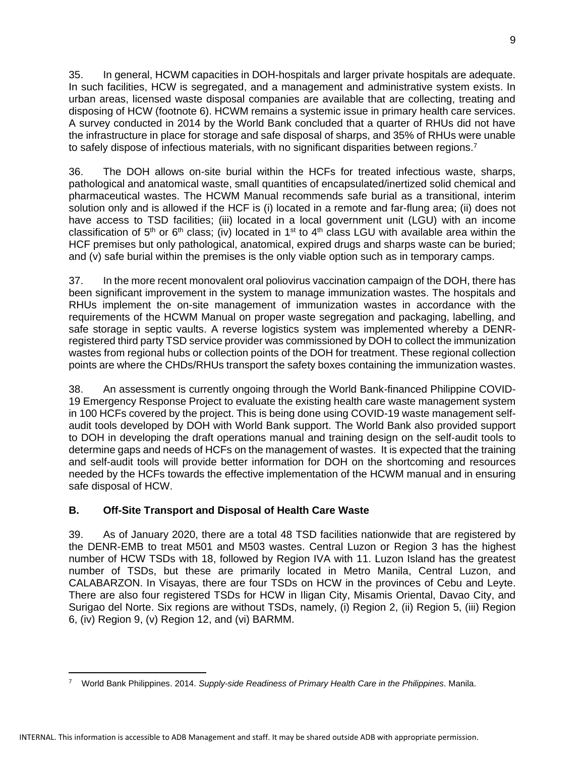35. In general, HCWM capacities in DOH-hospitals and larger private hospitals are adequate. In such facilities, HCW is segregated, and a management and administrative system exists. In urban areas, licensed waste disposal companies are available that are collecting, treating and disposing of HCW (footnote 6). HCWM remains a systemic issue in primary health care services. A survey conducted in 2014 by the World Bank concluded that a quarter of RHUs did not have the infrastructure in place for storage and safe disposal of sharps, and 35% of RHUs were unable to safely dispose of infectious materials, with no significant disparities between regions.<sup>7</sup>

36. The DOH allows on-site burial within the HCFs for treated infectious waste, sharps, pathological and anatomical waste, small quantities of encapsulated/inertized solid chemical and pharmaceutical wastes. The HCWM Manual recommends safe burial as a transitional, interim solution only and is allowed if the HCF is (i) located in a remote and far-flung area; (ii) does not have access to TSD facilities; (iii) located in a local government unit (LGU) with an income classification of 5<sup>th</sup> or 6<sup>th</sup> class; (iv) located in 1<sup>st</sup> to 4<sup>th</sup> class LGU with available area within the HCF premises but only pathological, anatomical, expired drugs and sharps waste can be buried; and (v) safe burial within the premises is the only viable option such as in temporary camps.

37. In the more recent monovalent oral poliovirus vaccination campaign of the DOH, there has been significant improvement in the system to manage immunization wastes. The hospitals and RHUs implement the on-site management of immunization wastes in accordance with the requirements of the HCWM Manual on proper waste segregation and packaging, labelling, and safe storage in septic vaults. A reverse logistics system was implemented whereby a DENRregistered third party TSD service provider was commissioned by DOH to collect the immunization wastes from regional hubs or collection points of the DOH for treatment. These regional collection points are where the CHDs/RHUs transport the safety boxes containing the immunization wastes.

38. An assessment is currently ongoing through the World Bank-financed Philippine COVID-19 Emergency Response Project to evaluate the existing health care waste management system in 100 HCFs covered by the project. This is being done using COVID-19 waste management selfaudit tools developed by DOH with World Bank support. The World Bank also provided support to DOH in developing the draft operations manual and training design on the self-audit tools to determine gaps and needs of HCFs on the management of wastes. It is expected that the training and self-audit tools will provide better information for DOH on the shortcoming and resources needed by the HCFs towards the effective implementation of the HCWM manual and in ensuring safe disposal of HCW.

### **B. Off-Site Transport and Disposal of Health Care Waste**

39. As of January 2020, there are a total 48 TSD facilities nationwide that are registered by the DENR-EMB to treat M501 and M503 wastes. Central Luzon or Region 3 has the highest number of HCW TSDs with 18, followed by Region IVA with 11. Luzon Island has the greatest number of TSDs, but these are primarily located in Metro Manila, Central Luzon, and CALABARZON. In Visayas, there are four TSDs on HCW in the provinces of Cebu and Leyte. There are also four registered TSDs for HCW in Iligan City, Misamis Oriental, Davao City, and Surigao del Norte. Six regions are without TSDs, namely, (i) Region 2, (ii) Region 5, (iii) Region 6, (iv) Region 9, (v) Region 12, and (vi) BARMM.

<sup>7</sup> World Bank Philippines. 2014. *Supply-side Readiness of Primary Health Care in the Philippines*. Manila.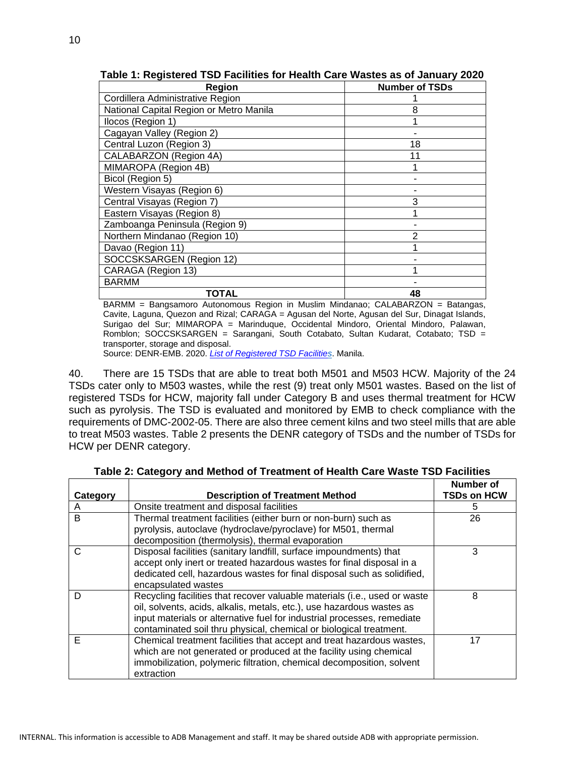| Region                                  | <b>Number of TSDs</b> |
|-----------------------------------------|-----------------------|
| Cordillera Administrative Region        |                       |
| National Capital Region or Metro Manila | 8                     |
| Ilocos (Region 1)                       |                       |
| Cagayan Valley (Region 2)               |                       |
| Central Luzon (Region 3)                | 18                    |
| CALABARZON (Region 4A)                  | 11                    |
| MIMAROPA (Region 4B)                    |                       |
| Bicol (Region 5)                        |                       |
| Western Visayas (Region 6)              |                       |
| Central Visayas (Region 7)              | 3                     |
| Eastern Visayas (Region 8)              |                       |
| Zamboanga Peninsula (Region 9)          |                       |
| Northern Mindanao (Region 10)           |                       |
| Davao (Region 11)                       |                       |
| SOCCSKSARGEN (Region 12)                |                       |
| CARAGA (Region 13)                      |                       |
| <b>BARMM</b>                            |                       |
| TOTAL                                   | 48                    |

**Table 1: Registered TSD Facilities for Health Care Wastes as of January 2020**

BARMM = Bangsamoro Autonomous Region in Muslim Mindanao; CALABARZON = Batangas, Cavite, Laguna, Quezon and Rizal; CARAGA = Agusan del Norte, Agusan del Sur, Dinagat Islands, Surigao del Sur; MIMAROPA = Marinduque, Occidental Mindoro, Oriental Mindoro, Palawan, Romblon; SOCCSKSARGEN = Sarangani, South Cotabato, Sultan Kudarat, Cotabato; TSD = transporter, storage and disposal.

Source: DENR-EMB. 2020. *[List of Registered TSD Facilities](https://emb.gov.ph/wp-content/uploads/2020/02/List-of-TSD-Facilities-January-2020-for-posting.pdf)*. Manila.

40. There are 15 TSDs that are able to treat both M501 and M503 HCW. Majority of the 24 TSDs cater only to M503 wastes, while the rest (9) treat only M501 wastes. Based on the list of registered TSDs for HCW, majority fall under Category B and uses thermal treatment for HCW such as pyrolysis. The TSD is evaluated and monitored by EMB to check compliance with the requirements of DMC-2002-05. There are also three cement kilns and two steel mills that are able to treat M503 wastes. Table 2 presents the DENR category of TSDs and the number of TSDs for HCW per DENR category.

|          |                                                                                                                                                                                                                                                                                                     | Number of          |
|----------|-----------------------------------------------------------------------------------------------------------------------------------------------------------------------------------------------------------------------------------------------------------------------------------------------------|--------------------|
| Category | <b>Description of Treatment Method</b>                                                                                                                                                                                                                                                              | <b>TSDs on HCW</b> |
| A        | Onsite treatment and disposal facilities                                                                                                                                                                                                                                                            | 5                  |
| B        | Thermal treatment facilities (either burn or non-burn) such as<br>pyrolysis, autoclave (hydroclave/pyroclave) for M501, thermal                                                                                                                                                                     | 26                 |
|          | decomposition (thermolysis), thermal evaporation                                                                                                                                                                                                                                                    |                    |
| C        | Disposal facilities (sanitary landfill, surface impoundments) that<br>accept only inert or treated hazardous wastes for final disposal in a<br>dedicated cell, hazardous wastes for final disposal such as solidified,<br>encapsulated wastes                                                       | 3                  |
| D        | Recycling facilities that recover valuable materials (i.e., used or waste<br>oil, solvents, acids, alkalis, metals, etc.), use hazardous wastes as<br>input materials or alternative fuel for industrial processes, remediate<br>contaminated soil thru physical, chemical or biological treatment. | 8                  |
| E        | Chemical treatment facilities that accept and treat hazardous wastes,<br>which are not generated or produced at the facility using chemical<br>immobilization, polymeric filtration, chemical decomposition, solvent<br>extraction                                                                  | 17                 |

**Table 2: Category and Method of Treatment of Health Care Waste TSD Facilities**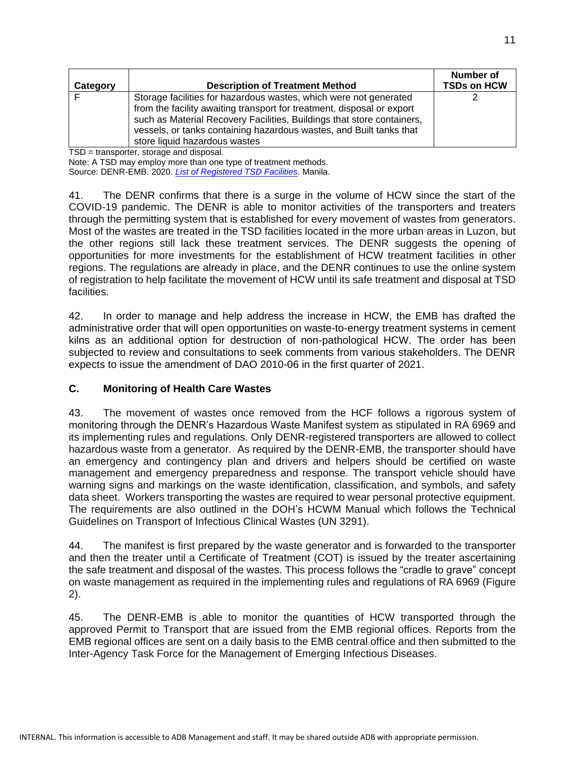|          |                                                                                                                                                                                                                                                                                                                               | Number of          |
|----------|-------------------------------------------------------------------------------------------------------------------------------------------------------------------------------------------------------------------------------------------------------------------------------------------------------------------------------|--------------------|
| Category | <b>Description of Treatment Method</b>                                                                                                                                                                                                                                                                                        | <b>TSDs on HCW</b> |
|          | Storage facilities for hazardous wastes, which were not generated<br>from the facility awaiting transport for treatment, disposal or export<br>such as Material Recovery Facilities, Buildings that store containers,<br>vessels, or tanks containing hazardous wastes, and Built tanks that<br>store liquid hazardous wastes |                    |

TSD = transporter, storage and disposal.

Note: A TSD may employ more than one type of treatment methods.

Source: DENR-EMB. 2020. *[List of Registered TSD Facilities](https://emb.gov.ph/wp-content/uploads/2020/02/List-of-TSD-Facilities-January-2020-for-posting.pdf)*. Manila.

41. The DENR confirms that there is a surge in the volume of HCW since the start of the COVID-19 pandemic. The DENR is able to monitor activities of the transporters and treaters through the permitting system that is established for every movement of wastes from generators. Most of the wastes are treated in the TSD facilities located in the more urban areas in Luzon, but the other regions still lack these treatment services. The DENR suggests the opening of opportunities for more investments for the establishment of HCW treatment facilities in other regions. The regulations are already in place, and the DENR continues to use the online system of registration to help facilitate the movement of HCW until its safe treatment and disposal at TSD facilities.

42. In order to manage and help address the increase in HCW, the EMB has drafted the administrative order that will open opportunities on waste-to-energy treatment systems in cement kilns as an additional option for destruction of non-pathological HCW. The order has been subjected to review and consultations to seek comments from various stakeholders. The DENR expects to issue the amendment of DAO 2010-06 in the first quarter of 2021.

#### **C. Monitoring of Health Care Wastes**

43. The movement of wastes once removed from the HCF follows a rigorous system of monitoring through the DENR's Hazardous Waste Manifest system as stipulated in RA 6969 and its implementing rules and regulations. Only DENR-registered transporters are allowed to collect hazardous waste from a generator. As required by the DENR-EMB, the transporter should have an emergency and contingency plan and drivers and helpers should be certified on waste management and emergency preparedness and response. The transport vehicle should have warning signs and markings on the waste identification, classification, and symbols, and safety data sheet. Workers transporting the wastes are required to wear personal protective equipment. The requirements are also outlined in the DOH's HCWM Manual which follows the Technical Guidelines on Transport of Infectious Clinical Wastes (UN 3291).

44. The manifest is first prepared by the waste generator and is forwarded to the transporter and then the treater until a Certificate of Treatment (COT) is issued by the treater ascertaining the safe treatment and disposal of the wastes. This process follows the "cradle to grave" concept on waste management as required in the implementing rules and regulations of RA 6969 (Figure 2).

45. The DENR-EMB is able to monitor the quantities of HCW transported through the approved Permit to Transport that are issued from the EMB regional offices. Reports from the EMB regional offices are sent on a daily basis to the EMB central office and then submitted to the Inter-Agency Task Force for the Management of Emerging Infectious Diseases.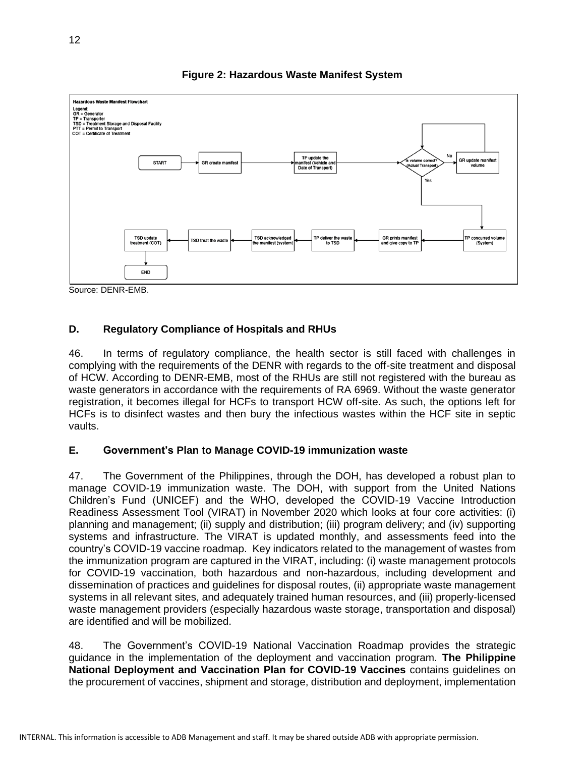

**Figure 2: Hazardous Waste Manifest System**

Source: DENR-EMB.

### **D. Regulatory Compliance of Hospitals and RHUs**

46. In terms of regulatory compliance, the health sector is still faced with challenges in complying with the requirements of the DENR with regards to the off-site treatment and disposal of HCW. According to DENR-EMB, most of the RHUs are still not registered with the bureau as waste generators in accordance with the requirements of RA 6969. Without the waste generator registration, it becomes illegal for HCFs to transport HCW off-site. As such, the options left for HCFs is to disinfect wastes and then bury the infectious wastes within the HCF site in septic vaults.

### **E. Government's Plan to Manage COVID-19 immunization waste**

47. The Government of the Philippines, through the DOH, has developed a robust plan to manage COVID-19 immunization waste. The DOH, with support from the United Nations Children's Fund (UNICEF) and the WHO, developed the COVID-19 Vaccine Introduction Readiness Assessment Tool (VIRAT) in November 2020 which looks at four core activities: (i) planning and management; (ii) supply and distribution; (iii) program delivery; and (iv) supporting systems and infrastructure. The VIRAT is updated monthly, and assessments feed into the country's COVID-19 vaccine roadmap. Key indicators related to the management of wastes from the immunization program are captured in the VIRAT, including: (i) waste management protocols for COVID-19 vaccination, both hazardous and non-hazardous, including development and dissemination of practices and guidelines for disposal routes, (ii) appropriate waste management systems in all relevant sites, and adequately trained human resources, and (iii) properly-licensed waste management providers (especially hazardous waste storage, transportation and disposal) are identified and will be mobilized.

48. The Government's COVID-19 National Vaccination Roadmap provides the strategic guidance in the implementation of the deployment and vaccination program. **The Philippine National Deployment and Vaccination Plan for COVID-19 Vaccines** contains guidelines on the procurement of vaccines, shipment and storage, distribution and deployment, implementation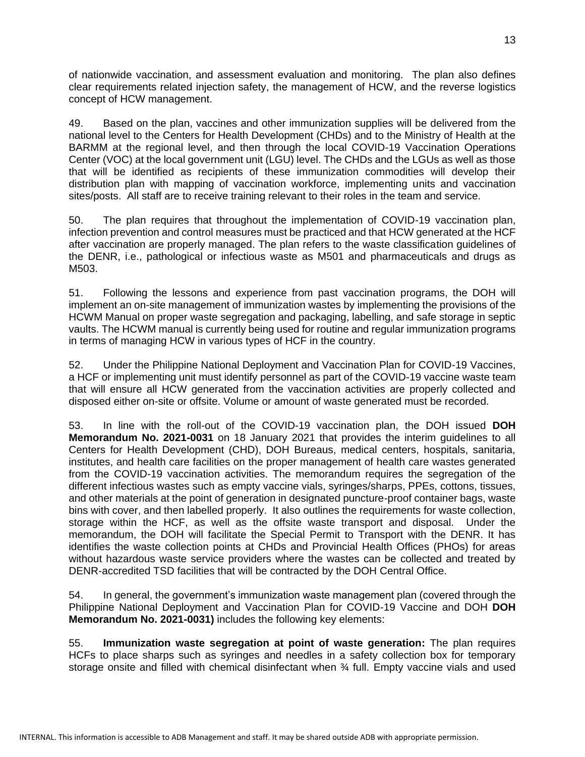of nationwide vaccination, and assessment evaluation and monitoring. The plan also defines clear requirements related injection safety, the management of HCW, and the reverse logistics concept of HCW management.

49. Based on the plan, vaccines and other immunization supplies will be delivered from the national level to the Centers for Health Development (CHDs) and to the Ministry of Health at the BARMM at the regional level, and then through the local COVID-19 Vaccination Operations Center (VOC) at the local government unit (LGU) level. The CHDs and the LGUs as well as those that will be identified as recipients of these immunization commodities will develop their distribution plan with mapping of vaccination workforce, implementing units and vaccination sites/posts. All staff are to receive training relevant to their roles in the team and service.

50. The plan requires that throughout the implementation of COVID-19 vaccination plan, infection prevention and control measures must be practiced and that HCW generated at the HCF after vaccination are properly managed. The plan refers to the waste classification guidelines of the DENR, i.e., pathological or infectious waste as M501 and pharmaceuticals and drugs as M503.

51. Following the lessons and experience from past vaccination programs, the DOH will implement an on-site management of immunization wastes by implementing the provisions of the HCWM Manual on proper waste segregation and packaging, labelling, and safe storage in septic vaults. The HCWM manual is currently being used for routine and regular immunization programs in terms of managing HCW in various types of HCF in the country.

52. Under the Philippine National Deployment and Vaccination Plan for COVID-19 Vaccines, a HCF or implementing unit must identify personnel as part of the COVID-19 vaccine waste team that will ensure all HCW generated from the vaccination activities are properly collected and disposed either on-site or offsite. Volume or amount of waste generated must be recorded.

53. In line with the roll-out of the COVID-19 vaccination plan, the DOH issued **DOH Memorandum No. 2021-0031** on 18 January 2021 that provides the interim guidelines to all Centers for Health Development (CHD), DOH Bureaus, medical centers, hospitals, sanitaria, institutes, and health care facilities on the proper management of health care wastes generated from the COVID-19 vaccination activities. The memorandum requires the segregation of the different infectious wastes such as empty vaccine vials, syringes/sharps, PPEs, cottons, tissues, and other materials at the point of generation in designated puncture-proof container bags, waste bins with cover, and then labelled properly. It also outlines the requirements for waste collection, storage within the HCF, as well as the offsite waste transport and disposal. Under the memorandum, the DOH will facilitate the Special Permit to Transport with the DENR. It has identifies the waste collection points at CHDs and Provincial Health Offices (PHOs) for areas without hazardous waste service providers where the wastes can be collected and treated by DENR-accredited TSD facilities that will be contracted by the DOH Central Office.

54. In general, the government's immunization waste management plan (covered through the Philippine National Deployment and Vaccination Plan for COVID-19 Vaccine and DOH **DOH Memorandum No. 2021-0031)** includes the following key elements:

55. **Immunization waste segregation at point of waste generation:** The plan requires HCFs to place sharps such as syringes and needles in a safety collection box for temporary storage onsite and filled with chemical disinfectant when ¾ full. Empty vaccine vials and used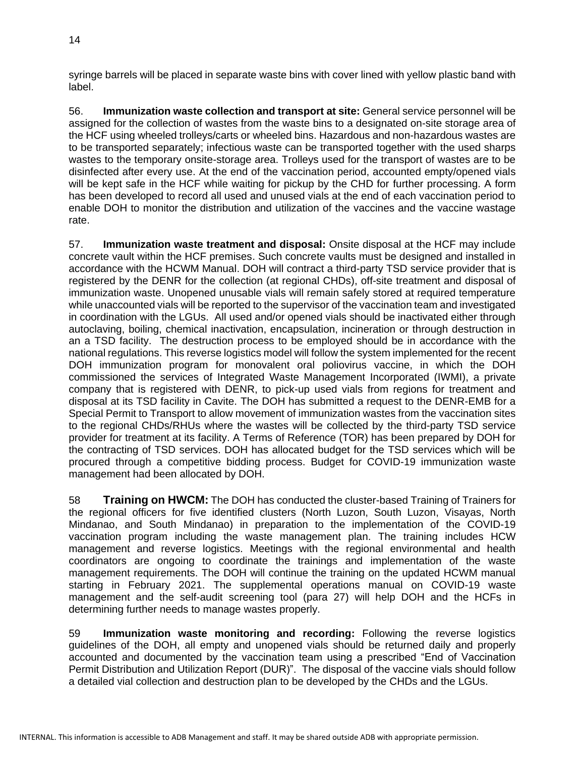syringe barrels will be placed in separate waste bins with cover lined with yellow plastic band with label.

56. **Immunization waste collection and transport at site:** General service personnel will be assigned for the collection of wastes from the waste bins to a designated on-site storage area of the HCF using wheeled trolleys/carts or wheeled bins. Hazardous and non-hazardous wastes are to be transported separately; infectious waste can be transported together with the used sharps wastes to the temporary onsite-storage area. Trolleys used for the transport of wastes are to be disinfected after every use. At the end of the vaccination period, accounted empty/opened vials will be kept safe in the HCF while waiting for pickup by the CHD for further processing. A form has been developed to record all used and unused vials at the end of each vaccination period to enable DOH to monitor the distribution and utilization of the vaccines and the vaccine wastage rate.

57. **Immunization waste treatment and disposal:** Onsite disposal at the HCF may include concrete vault within the HCF premises. Such concrete vaults must be designed and installed in accordance with the HCWM Manual. DOH will contract a third-party TSD service provider that is registered by the DENR for the collection (at regional CHDs), off-site treatment and disposal of immunization waste. Unopened unusable vials will remain safely stored at required temperature while unaccounted vials will be reported to the supervisor of the vaccination team and investigated in coordination with the LGUs. All used and/or opened vials should be inactivated either through autoclaving, boiling, chemical inactivation, encapsulation, incineration or through destruction in an a TSD facility. The destruction process to be employed should be in accordance with the national regulations. This reverse logistics model will follow the system implemented for the recent DOH immunization program for monovalent oral poliovirus vaccine, in which the DOH commissioned the services of Integrated Waste Management Incorporated (IWMI), a private company that is registered with DENR, to pick-up used vials from regions for treatment and disposal at its TSD facility in Cavite. The DOH has submitted a request to the DENR-EMB for a Special Permit to Transport to allow movement of immunization wastes from the vaccination sites to the regional CHDs/RHUs where the wastes will be collected by the third-party TSD service provider for treatment at its facility. A Terms of Reference (TOR) has been prepared by DOH for the contracting of TSD services. DOH has allocated budget for the TSD services which will be procured through a competitive bidding process. Budget for COVID-19 immunization waste management had been allocated by DOH.

58 **Training on HWCM:** The DOH has conducted the cluster-based Training of Trainers for the regional officers for five identified clusters (North Luzon, South Luzon, Visayas, North Mindanao, and South Mindanao) in preparation to the implementation of the COVID-19 vaccination program including the waste management plan. The training includes HCW management and reverse logistics. Meetings with the regional environmental and health coordinators are ongoing to coordinate the trainings and implementation of the waste management requirements. The DOH will continue the training on the updated HCWM manual starting in February 2021. The supplemental operations manual on COVID-19 waste management and the self-audit screening tool (para 27) will help DOH and the HCFs in determining further needs to manage wastes properly.

59 **Immunization waste monitoring and recording:** Following the reverse logistics guidelines of the DOH, all empty and unopened vials should be returned daily and properly accounted and documented by the vaccination team using a prescribed "End of Vaccination Permit Distribution and Utilization Report (DUR)". The disposal of the vaccine vials should follow a detailed vial collection and destruction plan to be developed by the CHDs and the LGUs.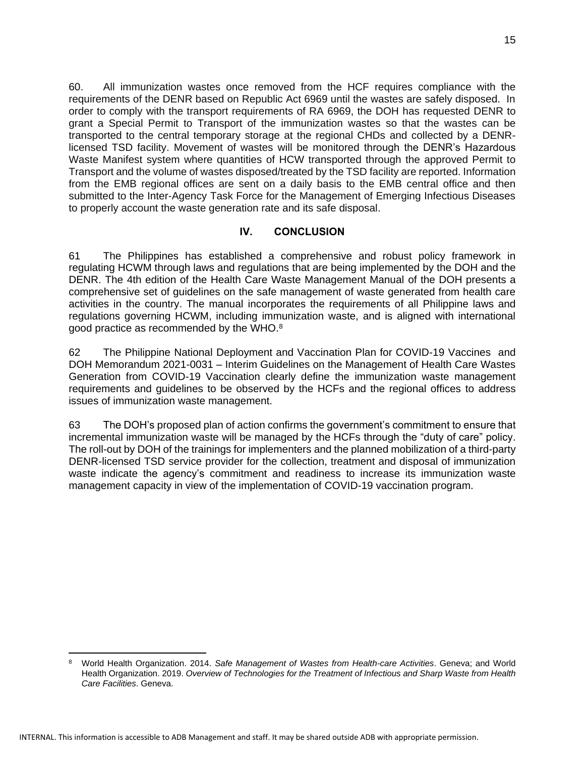60. All immunization wastes once removed from the HCF requires compliance with the requirements of the DENR based on Republic Act 6969 until the wastes are safely disposed. In order to comply with the transport requirements of RA 6969, the DOH has requested DENR to grant a Special Permit to Transport of the immunization wastes so that the wastes can be transported to the central temporary storage at the regional CHDs and collected by a DENRlicensed TSD facility. Movement of wastes will be monitored through the DENR's Hazardous Waste Manifest system where quantities of HCW transported through the approved Permit to Transport and the volume of wastes disposed/treated by the TSD facility are reported. Information from the EMB regional offices are sent on a daily basis to the EMB central office and then submitted to the Inter-Agency Task Force for the Management of Emerging Infectious Diseases to properly account the waste generation rate and its safe disposal.

### **IV. CONCLUSION**

61 The Philippines has established a comprehensive and robust policy framework in regulating HCWM through laws and regulations that are being implemented by the DOH and the DENR. The 4th edition of the Health Care Waste Management Manual of the DOH presents a comprehensive set of guidelines on the safe management of waste generated from health care activities in the country. The manual incorporates the requirements of all Philippine laws and regulations governing HCWM, including immunization waste, and is aligned with international good practice as recommended by the WHO.<sup>8</sup>

62 The Philippine National Deployment and Vaccination Plan for COVID-19 Vaccines and DOH Memorandum 2021-0031 – Interim Guidelines on the Management of Health Care Wastes Generation from COVID-19 Vaccination clearly define the immunization waste management requirements and guidelines to be observed by the HCFs and the regional offices to address issues of immunization waste management.

63 The DOH's proposed plan of action confirms the government's commitment to ensure that incremental immunization waste will be managed by the HCFs through the "duty of care" policy. The roll-out by DOH of the trainings for implementers and the planned mobilization of a third-party DENR-licensed TSD service provider for the collection, treatment and disposal of immunization waste indicate the agency's commitment and readiness to increase its immunization waste management capacity in view of the implementation of COVID-19 vaccination program.

<sup>8</sup> World Health Organization. 2014. *Safe Management of Wastes from Health-care Activities*. Geneva; and World Health Organization. 2019. *Overview of Technologies for the Treatment of Infectious and Sharp Waste from Health Care Facilities*. Geneva.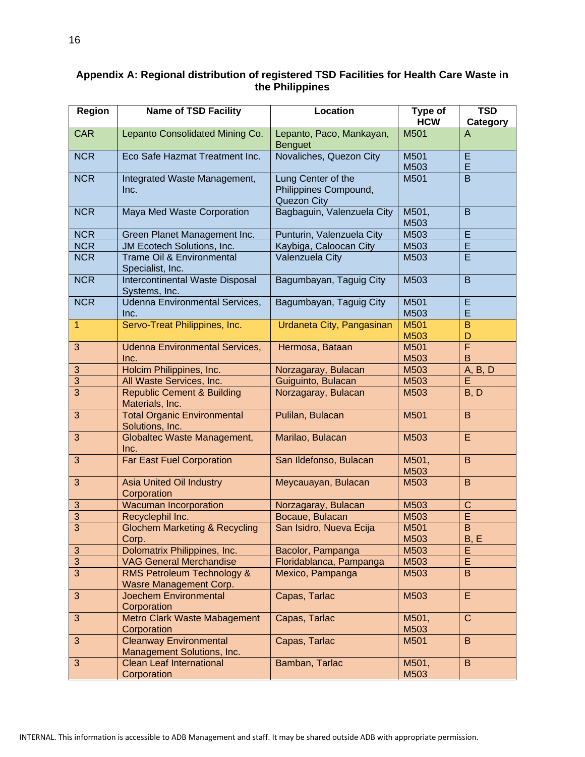| <b>Region</b>  | <b>Name of TSD Facility</b>                                            | <b>Location</b>                                                   | Type of<br><b>HCW</b> | <b>TSD</b><br>Category |
|----------------|------------------------------------------------------------------------|-------------------------------------------------------------------|-----------------------|------------------------|
| <b>CAR</b>     | Lepanto Consolidated Mining Co.                                        | Lepanto, Paco, Mankayan,<br><b>Benguet</b>                        | M501                  | $\overline{A}$         |
| <b>NCR</b>     | Eco Safe Hazmat Treatment Inc.                                         | Novaliches, Quezon City                                           | M501<br>M503          | E<br>E                 |
| <b>NCR</b>     | Integrated Waste Management,<br>Inc.                                   | Lung Center of the<br>Philippines Compound,<br><b>Quezon City</b> | M501                  | $\overline{B}$         |
| <b>NCR</b>     | Maya Med Waste Corporation                                             | Bagbaguin, Valenzuela City                                        | M501,<br>M503         | B                      |
| <b>NCR</b>     | Green Planet Management Inc.                                           | Punturin, Valenzuela City                                         | M503                  | $\overline{E}$         |
| <b>NCR</b>     | JM Ecotech Solutions, Inc.                                             | Kaybiga, Caloocan City                                            | M503                  | $\overline{E}$         |
| <b>NCR</b>     | Trame Oil & Environmental<br>Specialist, Inc.                          | Valenzuela City                                                   | M503                  | Ē                      |
| <b>NCR</b>     | Intercontinental Waste Disposal<br>Systems, Inc.                       | Bagumbayan, Taguig City                                           | M503                  | B                      |
| <b>NCR</b>     | <b>Udenna Environmental Services,</b><br>Inc.                          | Bagumbayan, Taguig City                                           | M501<br>M503          | E<br>E                 |
| $\mathbf{1}$   | Servo-Treat Philippines, Inc.                                          | Urdaneta City, Pangasinan                                         | M501<br>M503          | B<br>D                 |
| 3              | <b>Udenna Environmental Services,</b>                                  | Hermosa, Bataan                                                   | M501                  | Ē                      |
|                | Inc.                                                                   |                                                                   | M503                  | B                      |
| 3              | Holcim Philippines, Inc.                                               | Norzagaray, Bulacan                                               | M503                  | A, B, D                |
| 3              | All Waste Services, Inc.                                               | Guiguinto, Bulacan                                                | M503                  | E                      |
| 3              | <b>Republic Cement &amp; Building</b><br>Materials, Inc.               | Norzagaray, Bulacan                                               | M503                  | B, D                   |
| 3              | <b>Total Organic Environmental</b><br>Solutions, Inc.                  | Pulilan, Bulacan                                                  | M501                  | B                      |
| 3              | <b>Globaltec Waste Management,</b><br>Inc.                             | Marilao, Bulacan                                                  | M503                  | E                      |
| 3              | <b>Far East Fuel Corporation</b>                                       | San Ildefonso, Bulacan                                            | M501,<br>M503         | $\mathsf B$            |
| 3              | <b>Asia United Oil Industry</b><br>Corporation                         | Meycauayan, Bulacan                                               | M503                  | B                      |
| $\sqrt{3}$     | <b>Wacuman Incorporation</b>                                           | Norzagaray, Bulacan                                               | M503                  | $\mathsf{C}$           |
| $\overline{3}$ | Recyclephil Inc.                                                       | Bocaue, Bulacan                                                   | M503                  | Έ                      |
| $\overline{3}$ | <b>Glochem Marketing &amp; Recycling</b><br>Corp.                      | San Isidro, Nueva Ecija                                           | M501<br>M503          | $\overline{B}$<br>B, E |
| $\mathbf{3}$   | Dolomatrix Philippines, Inc.                                           | Bacolor, Pampanga                                                 | M503                  | E                      |
| 3              | <b>VAG General Merchandise</b>                                         | Floridablanca, Pampanga                                           | M503                  | E                      |
| 3              | <b>RMS Petroleum Technology &amp;</b><br><b>Wasre Management Corp.</b> | Mexico, Pampanga                                                  | M503                  | $\mathsf B$            |
| 3              | <b>Joechem Environmental</b><br>Corporation                            | Capas, Tarlac                                                     | M503                  | $\overline{E}$         |
| 3              | Metro Clark Waste Mabagement<br>Corporation                            | Capas, Tarlac                                                     | M501,<br>M503         | $\mathbf C$            |
| 3              | <b>Cleanway Environmental</b><br>Management Solutions, Inc.            | Capas, Tarlac                                                     | M501                  | B                      |
| 3              | <b>Clean Leaf International</b><br>Corporation                         | Bamban, Tarlac                                                    | M501,<br>M503         | $\mathsf B$            |

#### **Appendix A: Regional distribution of registered TSD Facilities for Health Care Waste in the Philippines**